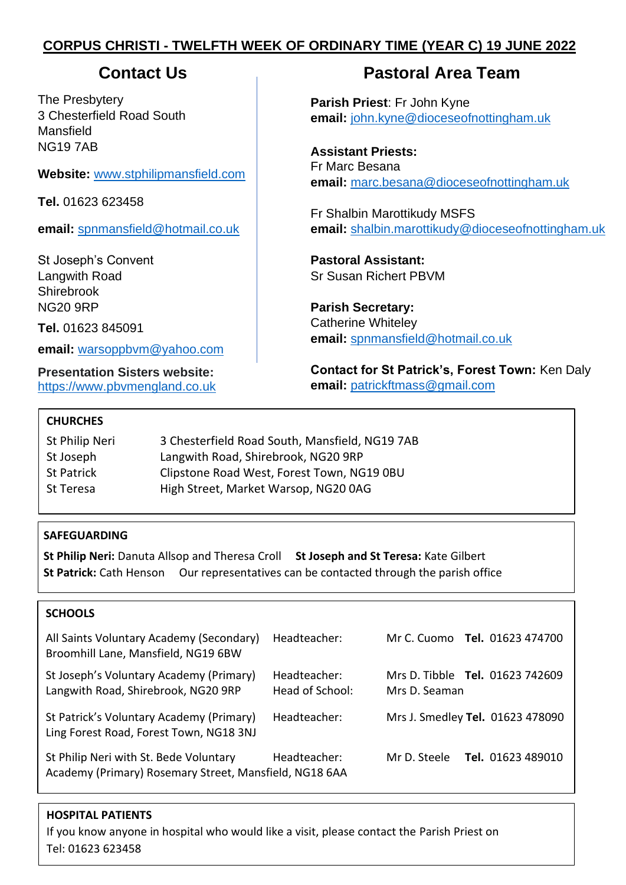# **CORPUS CHRISTI - TWELFTH WEEK OF ORDINARY TIME (YEAR C) 19 JUNE 2022**

The Presbytery 3 Chesterfield Road South Mansfield NG19 7AB

**Website:** [www.stphilipmansfield.com](http://www.stphilipmansfield.com/)

**Tel.** 01623 623458

**email:** [spnmansfield@hotmail.co.uk](mailto:spnmansfield@hotmail.co.uk)

St Joseph's Convent Langwith Road Shirebrook NG20 9RP

**Tel.** 01623 845091

**email:** [warsoppbvm@yahoo.com](mailto:warsoppbvm@yahoo.com)

**Presentation Sisters website:** [https://www.pbvmengland.co.uk](https://www.pbvmengland.co.uk/)

# **Contact Us Pastoral Area Team**

**Parish Priest**: Fr John Kyne **email:** [john.kyne@dioceseofnottingham.uk](mailto:john.kyne@dioceseofnottingham.uk)

**Assistant Priests:** Fr Marc Besana **email:** [marc.besana@dioceseofnottingham.uk](mailto:marc.besana@dioceseofnottingham.uk)

Fr Shalbin Marottikudy MSFS **email:** [shalbin.marottikudy@dioceseofnottingham.uk](mailto:shalbin.marottikudy@dioceseofnottingham.uk)

**Pastoral Assistant:** Sr Susan Richert PBVM

**Parish Secretary:** Catherine Whiteley **email:** [spnmansfield@hotmail.co.uk](mailto:spnmansfield@hotmail.co.uk)

**Contact for St Patrick's, Forest Town:** Ken Daly **email:** [patrickftmass@gmail.com](mailto:patrickftmass@gmail.com)

# **CHURCHES**

| St Philip Neri | 3 Chesterfield Road South, Mansfield, NG19 7AB |
|----------------|------------------------------------------------|
| St Joseph      | Langwith Road, Shirebrook, NG20 9RP            |
| St Patrick     | Clipstone Road West, Forest Town, NG19 0BU     |
| St Teresa      | High Street, Market Warsop, NG20 0AG           |

# **SAFEGUARDING**

**St Philip Neri:** Danuta Allsop and Theresa Croll **St Joseph and St Teresa:** Kate Gilbert **St Patrick:** Cath Henson Our representatives can be contacted through the parish office

# **SCHOOLS**

| All Saints Voluntary Academy (Secondary)<br>Broomhill Lane, Mansfield, NG19 6BW                  | Headteacher:                    | Mr C. Cuomo <b>Tel.</b> 01623 474700                    |
|--------------------------------------------------------------------------------------------------|---------------------------------|---------------------------------------------------------|
| St Joseph's Voluntary Academy (Primary)<br>Langwith Road, Shirebrook, NG20 9RP                   | Headteacher:<br>Head of School: | Mrs D. Tibble <b>Tel.</b> 01623 742609<br>Mrs D. Seaman |
| St Patrick's Voluntary Academy (Primary)<br>Ling Forest Road, Forest Town, NG18 3NJ              | Headteacher:                    | Mrs J. Smedley Tel. 01623 478090                        |
| St Philip Neri with St. Bede Voluntary<br>Academy (Primary) Rosemary Street, Mansfield, NG18 6AA | Headteacher:                    | <b>Tel.</b> 01623 489010<br>Mr D. Steele                |

# **HOSPITAL PATIENTS**

If you know anyone in hospital who would like a visit, please contact the Parish Priest on Tel: 01623 623458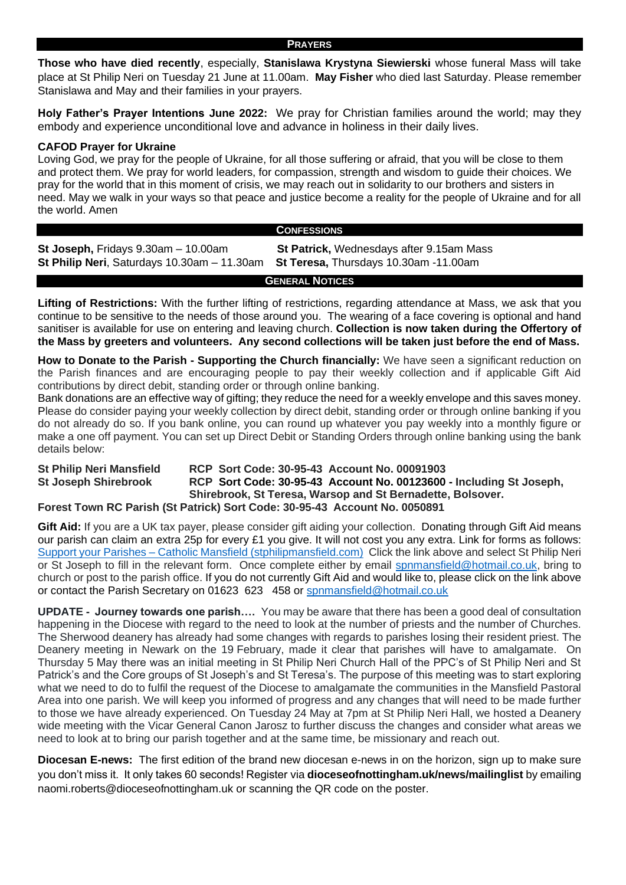**PRAYERS**

**Those who have died recently**, especially, **Stanislawa Krystyna Siewierski** whose funeral Mass will take place at St Philip Neri on Tuesday 21 June at 11.00am. **May Fisher** who died last Saturday. Please remember Stanislawa and May and their families in your prayers.

**Holy Father's Prayer Intentions June 2022:** We pray for Christian families around the world; may they embody and experience unconditional love and advance in holiness in their daily lives.

### **CAFOD Prayer for Ukraine**

Loving God, we pray for the people of Ukraine, for all those suffering or afraid, that you will be close to them and protect them. We pray for world leaders, for compassion, strength and wisdom to guide their choices. We pray for the world that in this moment of crisis, we may reach out in solidarity to our brothers and sisters in need. May we walk in your ways so that peace and justice become a reality for the people of Ukraine and for all the world. Amen

#### **CONFESSIONS**

**St Joseph,** Fridays 9.30am – 10.00am **St Patrick,** Wednesdays after 9.15am Mass **St Philip Neri**, Saturdays 10.30am – 11.30am **St Teresa,** Thursdays 10.30am -11.00am

**GENERAL NOTICES**

**Lifting of Restrictions:** With the further lifting of restrictions, regarding attendance at Mass, we ask that you continue to be sensitive to the needs of those around you. The wearing of a face covering is optional and hand sanitiser is available for use on entering and leaving church. **Collection is now taken during the Offertory of the Mass by greeters and volunteers. Any second collections will be taken just before the end of Mass.**

**How to Donate to the Parish - Supporting the Church financially:** We have seen a significant reduction on the Parish finances and are encouraging people to pay their weekly collection and if applicable Gift Aid contributions by direct debit, standing order or through online banking.

Bank donations are an effective way of gifting; they reduce the need for a weekly envelope and this saves money. Please do consider paying your weekly collection by direct debit, standing order or through online banking if you do not already do so. If you bank online, you can round up whatever you pay weekly into a monthly figure or make a one off payment. You can set up Direct Debit or Standing Orders through online banking using the bank details below:

#### **St Philip Neri Mansfield RCP Sort Code: 30-95-43 Account No. 00091903 St Joseph Shirebrook RCP Sort Code: 30-95-43 Account No. 00123600 - Including St Joseph, Shirebrook, St Teresa, Warsop and St Bernadette, Bolsover. Forest Town RC Parish (St Patrick) Sort Code: 30-95-43 Account No. 0050891**

**Gift Aid:** If you are a UK tax payer, please consider gift aiding your collection. Donating through Gift Aid means our parish can claim an extra 25p for every £1 you give. It will not cost you any extra. Link for forms as follows: Support your Parishes – [Catholic Mansfield \(stphilipmansfield.com\)](http://www.stphilipmansfield.com/support-the-parishes/) Click the link above and select St Philip Neri or St Joseph to fill in the relevant form. Once complete either by email [spnmansfield@hotmail.co.uk,](mailto:spnmansfield@hotmail.co.uk) bring to church or post to the parish office. If you do not currently Gift Aid and would like to, please click on the link above or contact the Parish Secretary on 01623 623 458 or [spnmansfield@hotmail.co.uk](mailto:spnmansfield@hotmail.co.uk)

**UPDATE - Journey towards one parish….** You may be aware that there has been a good deal of consultation happening in the Diocese with regard to the need to look at the number of priests and the number of Churches. The Sherwood deanery has already had some changes with regards to parishes losing their resident priest. The Deanery meeting in Newark on the 19 February, made it clear that parishes will have to amalgamate. On Thursday 5 May there was an initial meeting in St Philip Neri Church Hall of the PPC's of St Philip Neri and St Patrick's and the Core groups of St Joseph's and St Teresa's. The purpose of this meeting was to start exploring what we need to do to fulfil the request of the Diocese to amalgamate the communities in the Mansfield Pastoral Area into one parish. We will keep you informed of progress and any changes that will need to be made further to those we have already experienced. On Tuesday 24 May at 7pm at St Philip Neri Hall, we hosted a Deanery wide meeting with the Vicar General Canon Jarosz to further discuss the changes and consider what areas we need to look at to bring our parish together and at the same time, be missionary and reach out.

**Diocesan E-news:** The first edition of the brand new diocesan e-news in on the horizon, sign up to make sure you don't miss it. It only takes 60 seconds! Register via **dioceseofnottingham.uk/news/mailinglist** by emailing naomi.roberts@dioceseofnottingham.uk or scanning the QR code on the poster.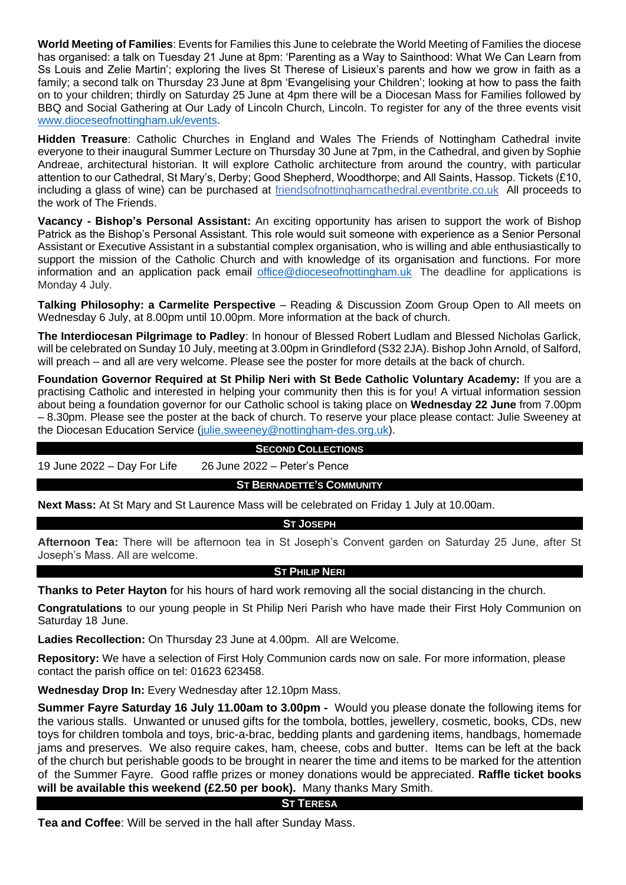**World Meeting of Families**: Events for Families this June to celebrate the World Meeting of Families the diocese has organised: a talk on Tuesday 21 June at 8pm: 'Parenting as a Way to Sainthood: What We Can Learn from Ss Louis and Zelie Martin'; exploring the lives St Therese of Lisieux's parents and how we grow in faith as a family; a second talk on Thursday 23 June at 8pm 'Evangelising your Children'; looking at how to pass the faith on to your children; thirdly on Saturday 25 June at 4pm there will be a Diocesan Mass for Families followed by BBQ and Social Gathering at Our Lady of Lincoln Church, Lincoln. To register for any of the three events visit [www.dioceseofnottingham.uk/events.](http://www.dioceseofnottingham.uk/events)

**Hidden Treasure**: Catholic Churches in England and Wales The Friends of Nottingham Cathedral invite everyone to their inaugural Summer Lecture on Thursday 30 June at 7pm, in the Cathedral, and given by Sophie Andreae, architectural historian. It will explore Catholic architecture from around the country, with particular attention to our Cathedral, St Mary's, Derby; Good Shepherd, Woodthorpe; and All Saints, Hassop. Tickets (£10, including a glass of wine) can be purchased at friendsofnottinghamcathedral.eventbrite.co.uk All proceeds to the work of The Friends.

**Vacancy - Bishop's Personal Assistant:** An exciting opportunity has arisen to support the work of Bishop Patrick as the Bishop's Personal Assistant. This role would suit someone with experience as a Senior Personal Assistant or Executive Assistant in a substantial complex organisation, who is willing and able enthusiastically to support the mission of the Catholic Church and with knowledge of its organisation and functions. For more information and an application pack email [office@dioceseofnottingham.uk](mailto:office@dioceseofnottingham.uk) The deadline for applications is Monday 4 July.

**Talking Philosophy: a Carmelite Perspective** – Reading & Discussion Zoom Group Open to All meets on Wednesday 6 July, at 8.00pm until 10.00pm. More information at the back of church.

**The Interdiocesan Pilgrimage to Padley**: In honour of Blessed Robert Ludlam and Blessed Nicholas Garlick, will be celebrated on Sunday 10 July, meeting at 3.00pm in Grindleford (S32 2JA). Bishop John Arnold, of Salford, will preach – and all are very welcome. Please see the poster for more details at the back of church.

**Foundation Governor Required at St Philip Neri with St Bede Catholic Voluntary Academy:** If you are a practising Catholic and interested in helping your community then this is for you! A virtual information session about being a foundation governor for our Catholic school is taking place on **Wednesday 22 June** from 7.00pm – 8.30pm. Please see the poster at the back of church. To reserve your place please contact: Julie Sweeney at the Diocesan Education Service [\(julie.sweeney@nottingham-des.org.uk\)](mailto:julie.sweeney@nottingham-des.org.uk).

#### **SECOND COLLECTIONS**

19 June 2022 – Day For Life 26 June 2022 – Peter's Pence

#### **ST BERNADETTE'S COMMUNITY**

**Next Mass:** At St Mary and St Laurence Mass will be celebrated on Friday 1 July at 10.00am.

#### **ST JOSEPH**

**Afternoon Tea:** There will be afternoon tea in St Joseph's Convent garden on Saturday 25 June, after St Joseph's Mass. All are welcome.

#### **ST PHILIP NERI**

**Thanks to Peter Hayton** for his hours of hard work removing all the social distancing in the church.

**Congratulations** to our young people in St Philip Neri Parish who have made their First Holy Communion on Saturday 18 June.

**Ladies Recollection:** On Thursday 23 June at 4.00pm. All are Welcome.

**Repository:** We have a selection of First Holy Communion cards now on sale. For more information, please contact the parish office on tel: 01623 623458.

**Wednesday Drop In:** Every Wednesday after 12.10pm Mass.

**Summer Fayre Saturday 16 July 11.00am to 3.00pm -** Would you please donate the following items for the various stalls. Unwanted or unused gifts for the tombola, bottles, jewellery, cosmetic, books, CDs, new toys for children tombola and toys, bric-a-brac, bedding plants and gardening items, handbags, homemade jams and preserves. We also require cakes, ham, cheese, cobs and butter. Items can be left at the back of the church but perishable goods to be brought in nearer the time and items to be marked for the attention of the Summer Fayre. Good raffle prizes or money donations would be appreciated. **Raffle ticket books will be available this weekend (£2.50 per book).** Many thanks Mary Smith.

#### **ST TERESA**

**Tea and Coffee**: Will be served in the hall after Sunday Mass.